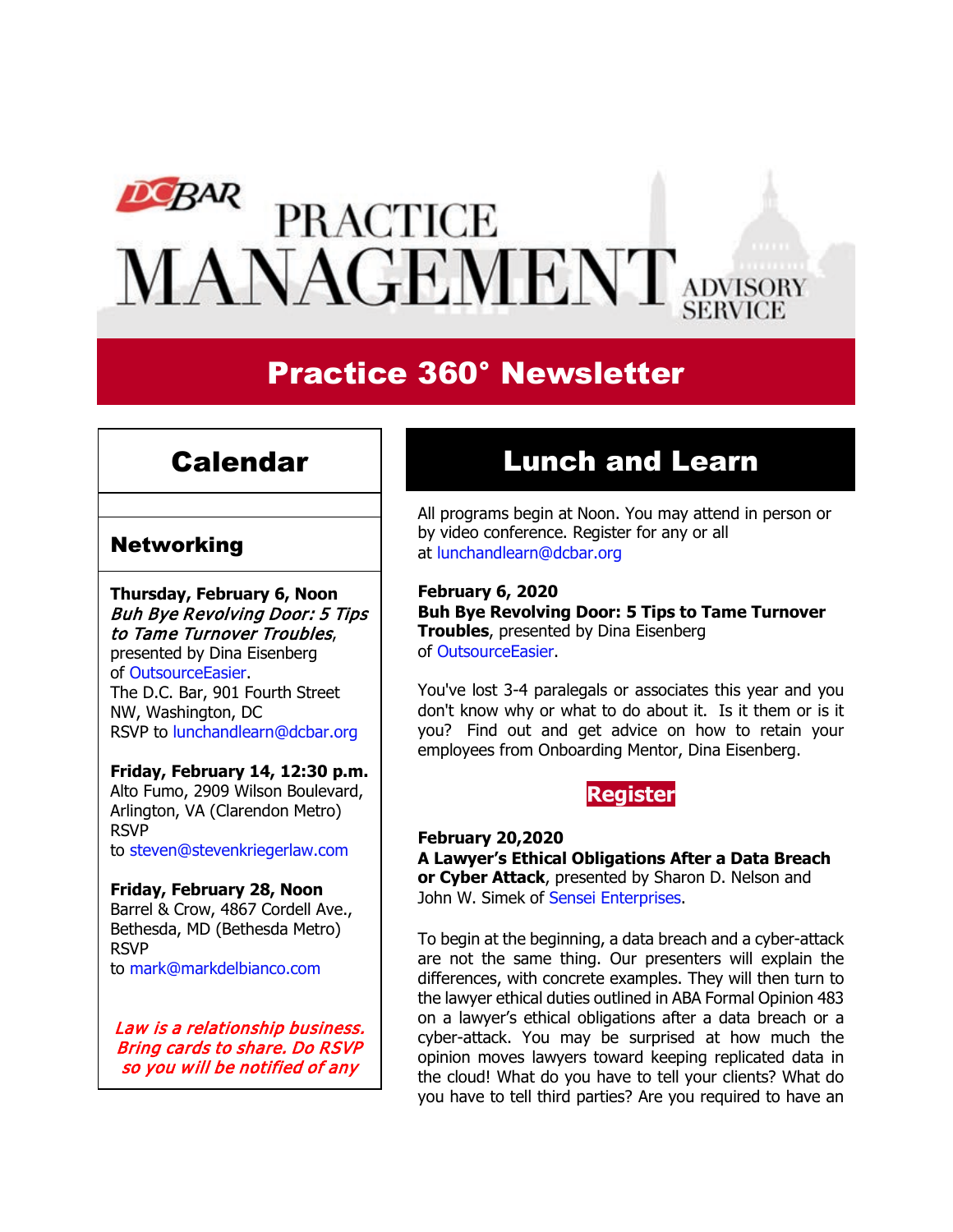# DCBAR **PRACTICE** MANAGEMENT ADVISORY

# Practice 360° Newsletter

## Calendar

### **Networking**

**Thursday, February 6, Noon** Buh Bye Revolving Door: 5 Tips to Tame Turnover Troubles, presented by Dina Eisenberg of [OutsourceEasier.](https://www.outsourceeasier.com/) The D.C. Bar, 901 Fourth Street NW, Washington, DC RSVP to [lunchandlearn@dcbar.org](mailto:lunchandlearn@dcbar.org?subject=RSVP%20to%20Lunch%20and%20Learn%20)

#### **Friday, February 14, 12:30 p.m.**

Alto Fumo, 2909 Wilson Boulevard, Arlington, VA (Clarendon Metro) RSVP to [steven@stevenkriegerlaw.com](mailto:steven@stevenkriegerlaw.com?subject=RSVP%20to%20networking%20event%20at%20Alto%20Fumo) 

#### **Friday, February 28, Noon**

Barrel & Crow, 4867 Cordell Ave., Bethesda, MD (Bethesda Metro) RSVP to [mark@markdelbianco.com](mailto:mark@markdelbianco.com) 

Law is a relationship business. Bring cards to share. Do RSVP so you will be notified of any

# Lunch and Learn

All programs begin at Noon. You may attend in person or by video conference. Register for any or all at [lunchandlearn@dcbar.org](mailto:lunchandlearn@dcbar.org?subject=Lunch%20and%20Learn)

#### **February 6, 2020**

**Buh Bye Revolving Door: 5 Tips to Tame Turnover Troubles**, presented by Dina Eisenberg of [OutsourceEasier.](https://www.outsourceeasier.com/)

You've lost 3-4 paralegals or associates this year and you don't know why or what to do about it. Is it them or is it you? Find out and get advice on how to retain your employees from Onboarding Mentor, Dina Eisenberg.



**February 20,2020 A Lawyer's Ethical Obligations After a Data Breach or Cyber Attack**, presented by Sharon D. Nelson and John W. Simek of [Sensei Enterprises.](https://senseient.com/)

To begin at the beginning, a data breach and a cyber-attack are not the same thing. Our presenters will explain the differences, with concrete examples. They will then turn to the lawyer ethical duties outlined in ABA Formal Opinion 483 on a lawyer's ethical obligations after a data breach or a cyber-attack. You may be surprised at how much the opinion moves lawyers toward keeping replicated data in the cloud! What do you have to tell your clients? What do you have to tell third parties? Are you required to have an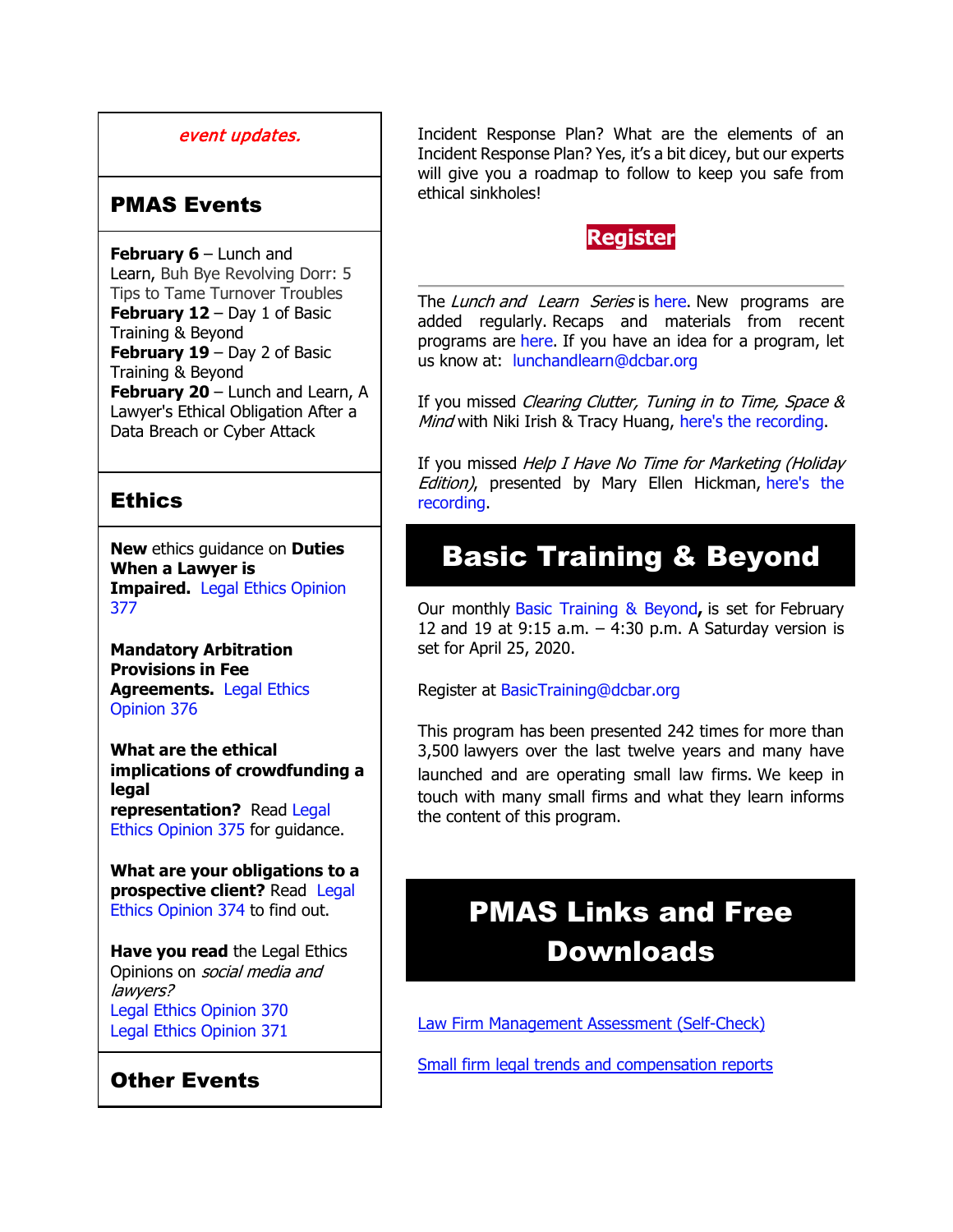#### event updates.

### PMAS Events

**February 6** – Lunch and Learn, Buh Bye Revolving Dorr: 5 Tips to Tame Turnover Troubles **February 12** – Day 1 of Basic Training & Beyond **February 19** – Day 2 of Basic Training & Beyond **February 20** – Lunch and Learn, A Lawyer's Ethical Obligation After a Data Breach or Cyber Attack

### **Ethics**

**New** ethics guidance on **Duties When a Lawyer is Impaired.** [Legal Ethics Opinion](http://www.mmsend31.com/link.cfm?r=zvkjaWqFFUTRz65Avl-Ftw%7E%7E&pe=ODr8_V8lOF5L2uvMbClKiC8lILPHs7ZKngOvyjiZnhTfQRUuG9QbHqi4ZE1eo_039Ae9w_AKwdJFbvUKSVNQwA%7E%7E&t=3EcuTBjr1coTEMX3XIw-XA%7E%7E)  [377](http://www.mmsend31.com/link.cfm?r=zvkjaWqFFUTRz65Avl-Ftw%7E%7E&pe=ODr8_V8lOF5L2uvMbClKiC8lILPHs7ZKngOvyjiZnhTfQRUuG9QbHqi4ZE1eo_039Ae9w_AKwdJFbvUKSVNQwA%7E%7E&t=3EcuTBjr1coTEMX3XIw-XA%7E%7E)

**Mandatory Arbitration Provisions in Fee Agreements.** [Legal Ethics](http://www.mmsend31.com/link.cfm?r=zvkjaWqFFUTRz65Avl-Ftw%7E%7E&pe=nnt9x4opEZW0qoumxHRGPUR8MULW1NbUkBuZZYXDpOwqermOwuktjK-YwSyYxphGi0IGchuGG_U4vH5Rd9gJ4Q%7E%7E&t=3EcuTBjr1coTEMX3XIw-XA%7E%7E)  [Opinion](http://www.mmsend31.com/link.cfm?r=zvkjaWqFFUTRz65Avl-Ftw%7E%7E&pe=nnt9x4opEZW0qoumxHRGPUR8MULW1NbUkBuZZYXDpOwqermOwuktjK-YwSyYxphGi0IGchuGG_U4vH5Rd9gJ4Q%7E%7E&t=3EcuTBjr1coTEMX3XIw-XA%7E%7E) 376

**What are the ethical implications of crowdfunding a legal representation?** Read [Legal](http://www.mmsend31.com/link.cfm?r=zvkjaWqFFUTRz65Avl-Ftw%7E%7E&pe=-HS8h8CYkcFiyF_v47h7scqJ_sENd0nlxNHxMumO-z14ht6Dap8nwtc0ABze0unmKFnpHl0g8qAHJ7A6qLbKCg%7E%7E&t=3EcuTBjr1coTEMX3XIw-XA%7E%7E)  [Ethics Opinion 375](http://www.mmsend31.com/link.cfm?r=zvkjaWqFFUTRz65Avl-Ftw%7E%7E&pe=-HS8h8CYkcFiyF_v47h7scqJ_sENd0nlxNHxMumO-z14ht6Dap8nwtc0ABze0unmKFnpHl0g8qAHJ7A6qLbKCg%7E%7E&t=3EcuTBjr1coTEMX3XIw-XA%7E%7E) for guidance.

**What are your obligations to a prospective client?** Read [Legal](http://www.mmsend31.com/link.cfm?r=zvkjaWqFFUTRz65Avl-Ftw%7E%7E&pe=hTsexrU8Jwv3AJRhB_rPeBc3aGI_uoMDibvWQcGnrw0QPUKtGBKpoFx4MTYotU3OBZEdFByx4HcgnI84o3PZ3g%7E%7E&t=3EcuTBjr1coTEMX3XIw-XA%7E%7E)  [Ethics Opinion 374](http://www.mmsend31.com/link.cfm?r=zvkjaWqFFUTRz65Avl-Ftw%7E%7E&pe=hTsexrU8Jwv3AJRhB_rPeBc3aGI_uoMDibvWQcGnrw0QPUKtGBKpoFx4MTYotU3OBZEdFByx4HcgnI84o3PZ3g%7E%7E&t=3EcuTBjr1coTEMX3XIw-XA%7E%7E) to find out.

**Have you read** the Legal Ethics Opinions on social media and lawyers? [Legal Ethics Opinion](http://www.mmsend31.com/link.cfm?r=zvkjaWqFFUTRz65Avl-Ftw%7E%7E&pe=xrzSlX1prImTfbiLZUC1kk904ROcQ5L9AwRZvRcmplbPWAoSScN3JAoeyLXbi_cV_A5vJ2JPbrMqnBuWCz2kyA%7E%7E&t=3EcuTBjr1coTEMX3XIw-XA%7E%7E) 370 [Legal Ethics Opinion](http://www.mmsend31.com/link.cfm?r=zvkjaWqFFUTRz65Avl-Ftw%7E%7E&pe=V4Oc-_ub8C_bGX7JFqxrdmrLp3TrApLX6IVyLX3eAyb-jzGnr1Bu5TrCpcsN57WKcF-Rp8egFfXnkpMrvoS9VA%7E%7E&t=3EcuTBjr1coTEMX3XIw-XA%7E%7E) 371

### Other Events

Incident Response Plan? What are the elements of an Incident Response Plan? Yes, it's a bit dicey, but our experts will give you a roadmap to follow to keep you safe from ethical sinkholes!

### **[Register](https://join.dcbar.org/eWeb/DynamicPage.aspx?site=dcbar&webcode=EventInfo&Reg_evt_key=89cf397e-a2be-4334-b24d-46e2ba070b8d&RegPath=EventRegFees&FreeEvent=&Event=Lunch%20and%20Learn:%20A%20Lawyer%E2%80%99s%20Ethical%20Obligations%20After%20a%20Data%20Breach%20or%20Cyber%20Attack&FundraisingEvent=&evt_guest_limit=9999&utm_source=Real%20Magnet&utm_medium=INSERT_CHANNEL&utm_campaign=INSERT_LINK_ID)**

The Lunch and Learn Series is [here.](http://www.mmsend31.com/link.cfm?r=zvkjaWqFFUTRz65Avl-Ftw%7E%7E&pe=zRa9gM1MCOgc_mWMpJYdMr4P1ErwrQ7Xe3twH_mcXNKrTH59Md18iKdsPJ9Gz6svfKLywcJPK-JUJU7dTmn25Q%7E%7E&t=3EcuTBjr1coTEMX3XIw-XA%7E%7E) New programs are added regularly. Recaps and materials from recent programs are [here.](http://www.mmsend31.com/link.cfm?r=zvkjaWqFFUTRz65Avl-Ftw%7E%7E&pe=VpgcPmGa8rWK88P-8MqjRrGL731H9lbZH8LqieSRFM6IZqln2zrE_VeiTwbvcBHHgZLx2Hyr-vmsRlgc88bvXQ%7E%7E&t=3EcuTBjr1coTEMX3XIw-XA%7E%7E) If you have an idea for a program, let us know at: [lunchandlearn@dcbar.org](mailto:lunchandlearn@dcbar.org)

If you missed Clearing Clutter, Tuning in to Time, Space & Mind with Niki Irish & Tracy Huang, [here's the recording.](http://www.mmsend31.com/link.cfm?r=zvkjaWqFFUTRz65Avl-Ftw%7E%7E&pe=6EgSvqRMbeXq-_zYpVH_jwN4N_syTGY_V5Mzx2-oa0qZt6gxSLBy1FuqLzyDGdeuE7fgv8hBgVoqEdjFug2ljA%7E%7E&t=3EcuTBjr1coTEMX3XIw-XA%7E%7E)

If you missed Help I Have No Time for Marketing (Holiday Edition), presented by Mary Ellen Hickman, here's the [recording.](http://www.mmsend31.com/link.cfm?r=zvkjaWqFFUTRz65Avl-Ftw%7E%7E&pe=lzN0DcfLVX8WcOGn0YZ3Vfuq-5WO14MrAdDrvp1vKc6SB6_GCRE9miexbNRVT0TX7KcCQWVSth91-BjUUMt41g%7E%7E&t=3EcuTBjr1coTEMX3XIw-XA%7E%7E)

# Basic Training & Beyond

Our monthly [Basic Training & Beyond](http://www.dcbar.org/bar-resources/practice-management-advisory-service/basic-training.cfm?utm_source=Real%20Magnet&utm_medium=INSERT_CHANNEL&utm_campaign=INSERT_LINK_ID)**,** is set for February 12 and 19 at 9:15 a.m.  $-$  4:30 p.m. A Saturday version is set for April 25, 2020.

Register at [BasicTraining@dcbar.org](mailto:BasicTraining@dcbar.org?subject=Basic%20Training%20%26%20Beyond) 

This program has been presented 242 times for more than 3,500 lawyers over the last twelve years and many have launched and are operating small law firms. We keep in touch with many small firms and what they learn informs the content of this program.

# PMAS Links and Free Downloads

[Law Firm Management Assessment \(Self-Check\)](https://www.dcbar.org/bar-resources/practice-management-advisory-service/selfcheck.cfm?utm_source=Real%20Magnet&utm_medium=INSERT_CHANNEL&utm_campaign=INSERT_LINK_ID)

[Small firm legal trends and compensation reports](http://www.dcbar.org/bar-resources/practice-management-advisory-service/basic-training-supplement.cfm?utm_source=Real%20Magnet&utm_medium=INSERT_CHANNEL&utm_campaign=INSERT_LINK_ID)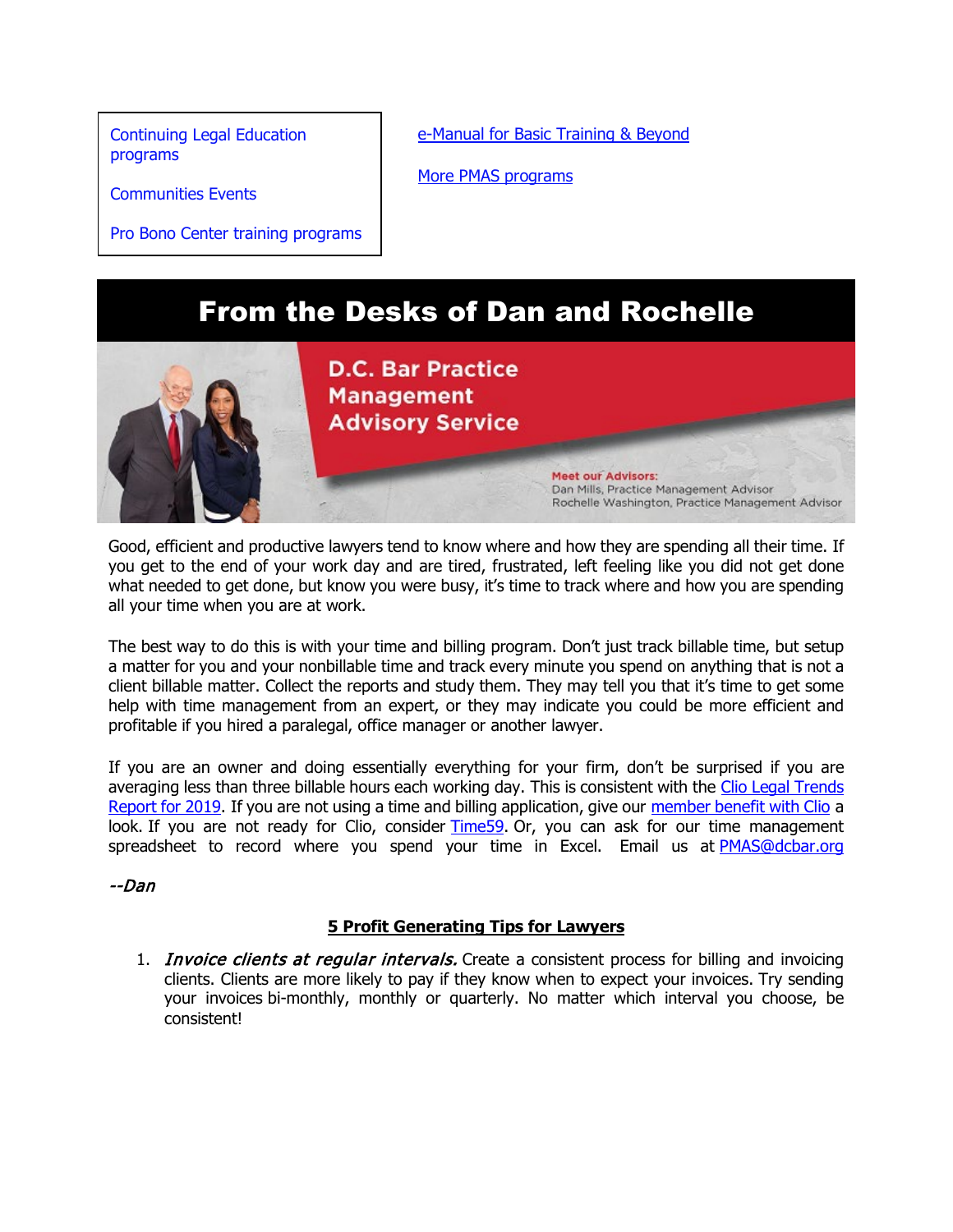[Continuing Legal Education](https://join.dcbar.org/eweb/DynamicPage.aspx?Site=DCBar&WebKey=cbe606bc-88d4-4d37-872c-f48d412a59e5&evt_etc_key=7aaf572d-f662-422f-9fe7-0ae3f4b705be&utm_source=Real%20Magnet&utm_medium=INSERT_CHANNEL&utm_campaign=INSERT_LINK_ID)  [programs](https://join.dcbar.org/eweb/DynamicPage.aspx?Site=DCBar&WebKey=cbe606bc-88d4-4d37-872c-f48d412a59e5&evt_etc_key=7aaf572d-f662-422f-9fe7-0ae3f4b705be&utm_source=Real%20Magnet&utm_medium=INSERT_CHANNEL&utm_campaign=INSERT_LINK_ID)

[Communities Events](https://join.dcbar.org/eweb/DynamicPage.aspx?site=dcbar&webcode=EventList&utm_source=Real%20Magnet&utm_medium=INSERT_CHANNEL&utm_campaign=INSERT_LINK_ID)

Pro Bono Center [training programs](http://www.dcbar.org/pro-bono/resources-and-training/pro-bono-training.cfm?utm_source=Real%20Magnet&utm_medium=INSERT_CHANNEL&utm_campaign=INSERT_LINK_ID)

[e-Manual for Basic Training & Beyond](http://www.dcbar.org/bar-resources/practice-management-advisory-service/upload/eManual-050316.pdf?utm_source=Real%20Magnet&utm_medium=INSERT_CHANNEL&utm_campaign=INSERT_LINK_ID)

[More PMAS programs](http://www.dcbar.org/bar-resources/practice-management-advisory-service/?utm_source=Real%20Magnet&utm_medium=INSERT_CHANNEL&utm_campaign=INSERT_LINK_ID)

### From the Desks of Dan and Rochelle



Good, efficient and productive lawyers tend to know where and how they are spending all their time. If you get to the end of your work day and are tired, frustrated, left feeling like you did not get done what needed to get done, but know you were busy, it's time to track where and how you are spending all your time when you are at work.

The best way to do this is with your time and billing program. Don't just track billable time, but setup a matter for you and your nonbillable time and track every minute you spend on anything that is not a client billable matter. Collect the reports and study them. They may tell you that it's time to get some help with time management from an expert, or they may indicate you could be more efficient and profitable if you hired a paralegal, office manager or another lawyer.

If you are an owner and doing essentially everything for your firm, don't be surprised if you are averaging less than three billable hours each working day. This is consistent with the Clio Legal Trends [Report for 2019.](https://www.clio.com/resources/legal-trends/2019-report/read-online/) If you are not using a time and billing application, give our [member benefit with Clio](https://www.dcbar.org/membership/member-benefits/Practice-Resources.cfm?utm_source=Real%20Magnet&utm_medium=INSERT_CHANNEL&utm_campaign=INSERT_LINK_ID) a look. If you are not ready for Clio, consider [Time59.](https://www.time59.com/) Or, you can ask for our time management spreadsheet to record where you spend your time in Excel. Email us at [PMAS@dcbar.org](mailto:PMAS@dcbar.org)

--Dan

#### **5 Profit Generating Tips for Lawyers**

1. *Invoice clients at regular intervals*. Create a consistent process for billing and invoicing clients. Clients are more likely to pay if they know when to expect your invoices. Try sending your invoices bi-monthly, monthly or quarterly. No matter which interval you choose, be consistent!